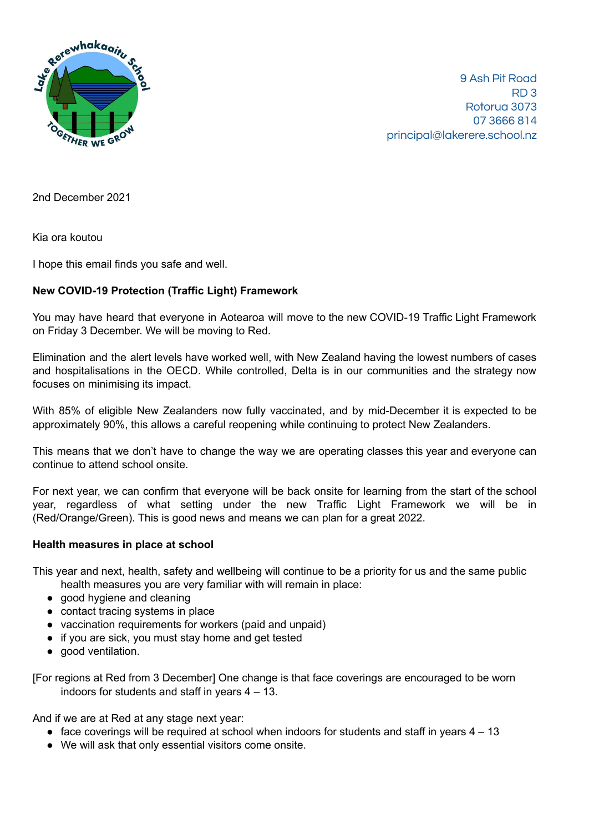

9 Ash Pit Road RD 3 Rotorua 3073 07 3666 814 principal@lakerere.school.nz

2nd December 2021

Kia ora koutou

I hope this email finds you safe and well.

## **New COVID-19 Protection (Traffic Light) Framework**

You may have heard that everyone in Aotearoa will move to the new COVID-19 Traffic Light Framework on Friday 3 December. We will be moving to Red.

Elimination and the alert levels have worked well, with New Zealand having the lowest numbers of cases and hospitalisations in the OECD. While controlled, Delta is in our communities and the strategy now focuses on minimising its impact.

With 85% of eligible New Zealanders now fully vaccinated, and by mid-December it is expected to be approximately 90%, this allows a careful reopening while continuing to protect New Zealanders.

This means that we don't have to change the way we are operating classes this year and everyone can continue to attend school onsite.

For next year, we can confirm that everyone will be back onsite for learning from the start of the school year, regardless of what setting under the new Traffic Light Framework we will be in (Red/Orange/Green). This is good news and means we can plan for a great 2022.

## **Health measures in place at school**

This year and next, health, safety and wellbeing will continue to be a priority for us and the same public

- health measures you are very familiar with will remain in place:
- good hygiene and cleaning
- contact tracing systems in place
- vaccination requirements for workers (paid and unpaid)
- if you are sick, you must stay home and get tested
- good ventilation.

[For regions at Red from 3 December] One change is that face coverings are encouraged to be worn indoors for students and staff in years 4 – 13.

And if we are at Red at any stage next year:

- $\bullet$  face coverings will be required at school when indoors for students and staff in years  $4 13$
- We will ask that only essential visitors come onsite.